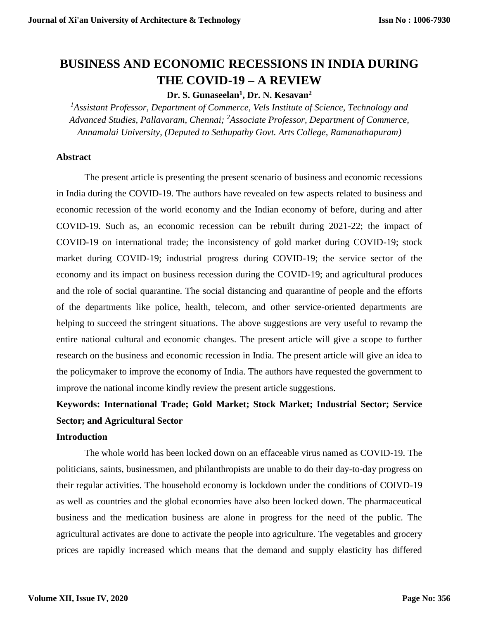# **BUSINESS AND ECONOMIC RECESSIONS IN INDIA DURING THE COVID-19 – A REVIEW**

# **Dr. S. Gunaseelan<sup>1</sup> , Dr. N. Kesavan<sup>2</sup>**

*<sup>1</sup>Assistant Professor, Department of Commerce, Vels Institute of Science, Technology and Advanced Studies, Pallavaram, Chennai; <sup>2</sup>Associate Professor, Department of Commerce, Annamalai University, (Deputed to Sethupathy Govt. Arts College, Ramanathapuram)*

## **Abstract**

The present article is presenting the present scenario of business and economic recessions in India during the COVID-19. The authors have revealed on few aspects related to business and economic recession of the world economy and the Indian economy of before, during and after COVID-19. Such as, an economic recession can be rebuilt during 2021-22; the impact of COVID-19 on international trade; the inconsistency of gold market during COVID-19; stock market during COVID-19; industrial progress during COVID-19; the service sector of the economy and its impact on business recession during the COVID-19; and agricultural produces and the role of social quarantine. The social distancing and quarantine of people and the efforts of the departments like police, health, telecom, and other service-oriented departments are helping to succeed the stringent situations. The above suggestions are very useful to revamp the entire national cultural and economic changes. The present article will give a scope to further research on the business and economic recession in India. The present article will give an idea to the policymaker to improve the economy of India. The authors have requested the government to improve the national income kindly review the present article suggestions.

# **Keywords: International Trade; Gold Market; Stock Market; Industrial Sector; Service Sector; and Agricultural Sector**

#### **Introduction**

The whole world has been locked down on an effaceable virus named as COVID-19. The politicians, saints, businessmen, and philanthropists are unable to do their day-to-day progress on their regular activities. The household economy is lockdown under the conditions of COIVD-19 as well as countries and the global economies have also been locked down. The pharmaceutical business and the medication business are alone in progress for the need of the public. The agricultural activates are done to activate the people into agriculture. The vegetables and grocery prices are rapidly increased which means that the demand and supply elasticity has differed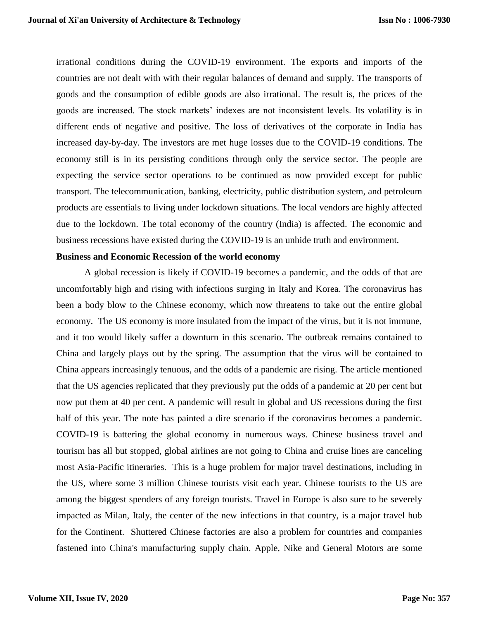irrational conditions during the COVID-19 environment. The exports and imports of the countries are not dealt with with their regular balances of demand and supply. The transports of goods and the consumption of edible goods are also irrational. The result is, the prices of the goods are increased. The stock markets' indexes are not inconsistent levels. Its volatility is in different ends of negative and positive. The loss of derivatives of the corporate in India has increased day-by-day. The investors are met huge losses due to the COVID-19 conditions. The economy still is in its persisting conditions through only the service sector. The people are expecting the service sector operations to be continued as now provided except for public transport. The telecommunication, banking, electricity, public distribution system, and petroleum products are essentials to living under lockdown situations. The local vendors are highly affected due to the lockdown. The total economy of the country (India) is affected. The economic and business recessions have existed during the COVID-19 is an unhide truth and environment.

#### **Business and Economic Recession of the world economy**

A global recession is likely if COVID-19 becomes a pandemic, and the odds of that are uncomfortably high and rising with infections surging in Italy and Korea. The coronavirus has been a body blow to the Chinese economy, which now threatens to take out the entire global economy. The US economy is more insulated from the impact of the virus, but it is not immune, and it too would likely suffer a downturn in this scenario. The outbreak remains contained to China and largely plays out by the spring. The assumption that the virus will be contained to China appears increasingly tenuous, and the odds of a pandemic are rising. The article mentioned that the US agencies replicated that they previously put the odds of a pandemic at 20 per cent but now put them at 40 per cent. A pandemic will result in global and US recessions during the first half of this year. The note has painted a dire scenario if the coronavirus becomes a pandemic. COVID-19 is battering the global economy in numerous ways. Chinese business travel and tourism has all but stopped, global airlines are not going to China and cruise lines are canceling most Asia-Pacific itineraries. This is a huge problem for major travel destinations, including in the US, where some 3 million Chinese tourists visit each year. Chinese tourists to the US are among the biggest spenders of any foreign tourists. Travel in Europe is also sure to be severely impacted as Milan, Italy, the center of the new infections in that country, is a major travel hub for the Continent. Shuttered Chinese factories are also a problem for countries and companies fastened into China's manufacturing supply chain. Apple, Nike and General Motors are some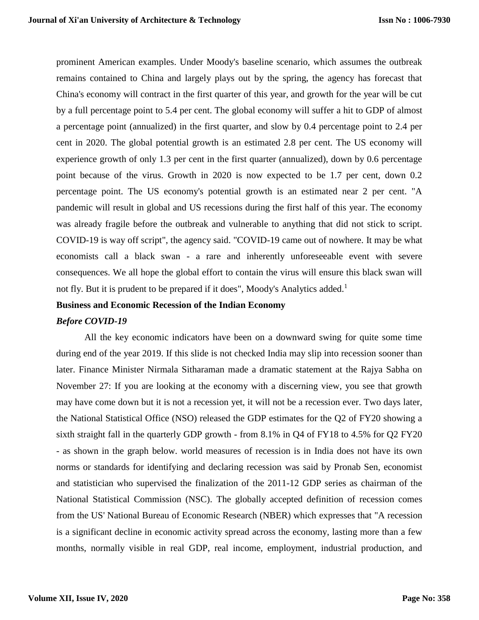prominent American examples. Under Moody's baseline scenario, which assumes the outbreak remains contained to China and largely plays out by the spring, the agency has forecast that China's economy will contract in the first quarter of this year, and growth for the year will be cut by a full percentage point to 5.4 per cent. The global economy will suffer a hit to GDP of almost a percentage point (annualized) in the first quarter, and slow by 0.4 percentage point to 2.4 per cent in 2020. The global potential growth is an estimated 2.8 per cent. The US economy will experience growth of only 1.3 per cent in the first quarter (annualized), down by 0.6 percentage point because of the virus. Growth in 2020 is now expected to be 1.7 per cent, down 0.2 percentage point. The US economy's potential growth is an estimated near 2 per cent. "A pandemic will result in global and US recessions during the first half of this year. The economy was already fragile before the outbreak and vulnerable to anything that did not stick to script. COVID-19 is way off script", the agency said. "COVID-19 came out of nowhere. It may be what economists call a black swan - a rare and inherently unforeseeable event with severe consequences. We all hope the global effort to contain the virus will ensure this black swan will not fly. But it is prudent to be prepared if it does", Moody's Analytics added.<sup>1</sup>

#### **Business and Economic Recession of the Indian Economy**

#### *Before COVID-19*

All the key economic indicators have been on a downward swing for quite some time during end of the year 2019. If this slide is not checked India may slip into recession sooner than later. Finance Minister Nirmala Sitharaman made a dramatic statement at the Rajya Sabha on November 27: If you are looking at the economy with a discerning view, you see that growth may have come down but it is not a recession yet, it will not be a recession ever. Two days later, the National Statistical Office (NSO) released the GDP estimates for the Q2 of FY20 showing a sixth straight fall in the quarterly GDP growth - from 8.1% in Q4 of FY18 to 4.5% for Q2 FY20 - as shown in the graph below. world measures of recession is in India does not have its own norms or standards for identifying and declaring recession was said by Pronab Sen, economist and statistician who supervised the finalization of the 2011-12 GDP series as chairman of the National Statistical Commission (NSC). The globally accepted definition of recession comes from the US' National Bureau of Economic Research (NBER) which expresses that "A recession is a significant decline in economic activity spread across the economy, lasting more than a few months, normally visible in real GDP, real income, employment, industrial production, and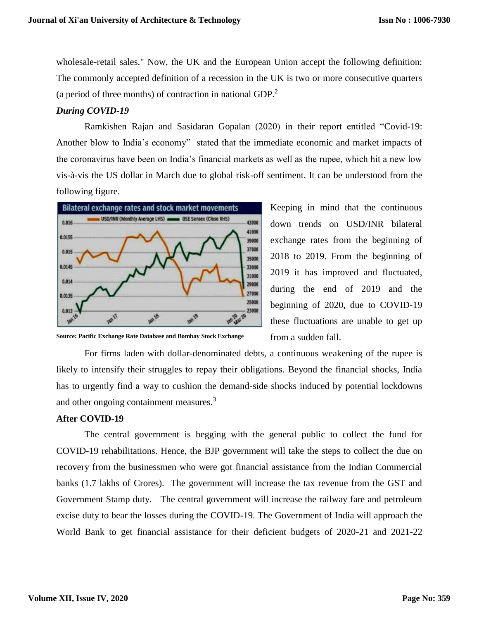wholesale-retail sales." Now, the UK and the European Union accept the following definition: The commonly accepted definition of a recession in the UK is two or more consecutive quarters (a period of three months) of contraction in national GDP.<sup>2</sup>

## *During COVID-19*

Ramkishen Rajan and Sasidaran Gopalan (2020) in their report entitled "Covid-19: Another blow to India's economy" stated that the immediate economic and market impacts of the coronavirus have been on India's financial markets as well as the rupee, which hit a new low vis-à-vis the US dollar in March due to global risk-off sentiment. It can be understood from the following figure.



Keeping in mind that the continuous down trends on USD/INR bilateral exchange rates from the beginning of 2018 to 2019. From the beginning of 2019 it has improved and fluctuated, during the end of 2019 and the beginning of 2020, due to COVID-19 these fluctuations are unable to get up from a sudden fall.

**Source: Pacific Exchange Rate Database and Bombay Stock Exchange** 

For firms laden with dollar-denominated debts, a continuous weakening of the rupee is likely to intensify their struggles to repay their obligations. Beyond the financial shocks, India has to urgently find a way to cushion the demand-side shocks induced by potential lockdowns and other ongoing containment measures.<sup>3</sup>

### **After COVID-19**

The central government is begging with the general public to collect the fund for COVID-19 rehabilitations. Hence, the BJP government will take the steps to collect the due on recovery from the businessmen who were got financial assistance from the Indian Commercial banks (1.7 lakhs of Crores). The government will increase the tax revenue from the GST and Government Stamp duty. The central government will increase the railway fare and petroleum excise duty to bear the losses during the COVID-19. The Government of India will approach the World Bank to get financial assistance for their deficient budgets of 2020-21 and 2021-22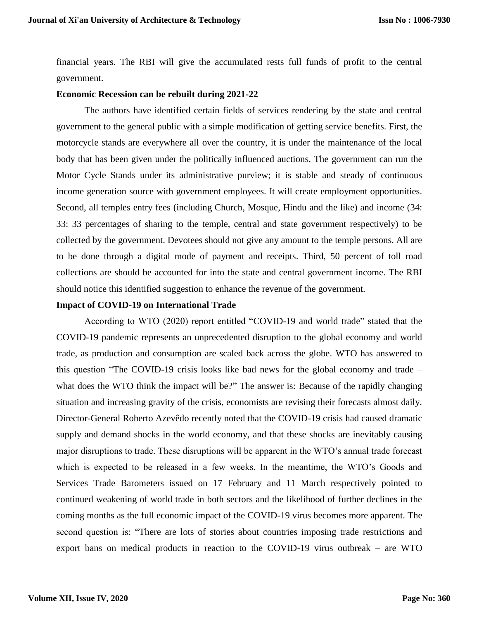financial years. The RBI will give the accumulated rests full funds of profit to the central government.

#### **Economic Recession can be rebuilt during 2021-22**

The authors have identified certain fields of services rendering by the state and central government to the general public with a simple modification of getting service benefits. First, the motorcycle stands are everywhere all over the country, it is under the maintenance of the local body that has been given under the politically influenced auctions. The government can run the Motor Cycle Stands under its administrative purview; it is stable and steady of continuous income generation source with government employees. It will create employment opportunities. Second, all temples entry fees (including Church, Mosque, Hindu and the like) and income (34: 33: 33 percentages of sharing to the temple, central and state government respectively) to be collected by the government. Devotees should not give any amount to the temple persons. All are to be done through a digital mode of payment and receipts. Third, 50 percent of toll road collections are should be accounted for into the state and central government income. The RBI should notice this identified suggestion to enhance the revenue of the government.

#### **Impact of COVID-19 on International Trade**

According to WTO (2020) report entitled "COVID-19 and world trade" stated that the COVID-19 pandemic represents an unprecedented disruption to the global economy and world trade, as production and consumption are scaled back across the globe. WTO has answered to this question "The COVID-19 crisis looks like bad news for the global economy and trade – what does the WTO think the impact will be?" The answer is: Because of the rapidly changing situation and increasing gravity of the crisis, economists are revising their forecasts almost daily. Director-General Roberto Azevêdo recently noted that the COVID-19 crisis had caused dramatic supply and demand shocks in the world economy, and that these shocks are inevitably causing major disruptions to trade. These disruptions will be apparent in the WTO's annual trade forecast which is expected to be released in a few weeks. In the meantime, the WTO's Goods and Services Trade Barometers issued on 17 February and 11 March respectively pointed to continued weakening of world trade in both sectors and the likelihood of further declines in the coming months as the full economic impact of the COVID-19 virus becomes more apparent. The second question is: "There are lots of stories about countries imposing trade restrictions and export bans on medical products in reaction to the COVID-19 virus outbreak – are WTO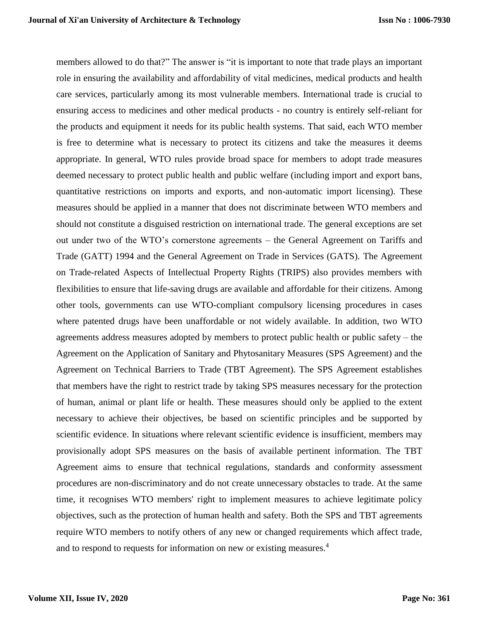members allowed to do that?" The answer is "it is important to note that trade plays an important role in ensuring the availability and affordability of vital medicines, medical products and health care services, particularly among its most vulnerable members. International trade is crucial to ensuring access to medicines and other medical products - no country is entirely self-reliant for the products and equipment it needs for its public health systems. That said, each WTO member is free to determine what is necessary to protect its citizens and take the measures it deems appropriate. In general, WTO rules provide broad space for members to adopt trade measures deemed necessary to protect public health and public welfare (including import and export bans, quantitative restrictions on imports and exports, and non-automatic import licensing). These measures should be applied in a manner that does not discriminate between WTO members and should not constitute a disguised restriction on international trade. The general exceptions are set out under two of the WTO's cornerstone agreements – the General Agreement on Tariffs and Trade (GATT) 1994 and the General Agreement on Trade in Services (GATS). The Agreement on Trade-related Aspects of Intellectual Property Rights (TRIPS) also provides members with flexibilities to ensure that life-saving drugs are available and affordable for their citizens. Among other tools, governments can use WTO-compliant compulsory licensing procedures in cases where patented drugs have been unaffordable or not widely available. In addition, two WTO agreements address measures adopted by members to protect public health or public safety – the Agreement on the Application of Sanitary and Phytosanitary Measures (SPS Agreement) and the Agreement on Technical Barriers to Trade (TBT Agreement). The SPS Agreement establishes that members have the right to restrict trade by taking SPS measures necessary for the protection of human, animal or plant life or health. These measures should only be applied to the extent necessary to achieve their objectives, be based on scientific principles and be supported by scientific evidence. In situations where relevant scientific evidence is insufficient, members may provisionally adopt SPS measures on the basis of available pertinent information. The TBT Agreement aims to ensure that technical regulations, standards and conformity assessment procedures are non-discriminatory and do not create unnecessary obstacles to trade. At the same time, it recognises WTO members' right to implement measures to achieve legitimate policy objectives, such as the protection of human health and safety. Both the SPS and TBT agreements require WTO members to notify others of any new or changed requirements which affect trade, and to respond to requests for information on new or existing measures.<sup>4</sup>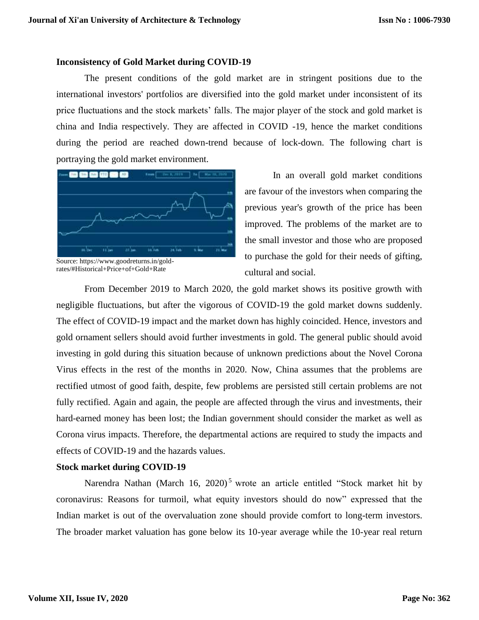#### **Inconsistency of Gold Market during COVID-19**

The present conditions of the gold market are in stringent positions due to the international investors' portfolios are diversified into the gold market under inconsistent of its price fluctuations and the stock markets' falls. The major player of the stock and gold market is china and India respectively. They are affected in COVID -19, hence the market conditions during the period are reached down-trend because of lock-down. The following chart is portraying the gold market environment.



Source: https://www.goodreturns.in/goldrates/#Historical+Price+of+Gold+Rate

 In an overall gold market conditions are favour of the investors when comparing the previous year's growth of the price has been improved. The problems of the market are to the small investor and those who are proposed to purchase the gold for their needs of gifting, cultural and social.

From December 2019 to March 2020, the gold market shows its positive growth with negligible fluctuations, but after the vigorous of COVID-19 the gold market downs suddenly. The effect of COVID-19 impact and the market down has highly coincided. Hence, investors and gold ornament sellers should avoid further investments in gold. The general public should avoid investing in gold during this situation because of unknown predictions about the Novel Corona Virus effects in the rest of the months in 2020. Now, China assumes that the problems are rectified utmost of good faith, despite, few problems are persisted still certain problems are not fully rectified. Again and again, the people are affected through the virus and investments, their hard-earned money has been lost; the Indian government should consider the market as well as Corona virus impacts. Therefore, the departmental actions are required to study the impacts and effects of COVID-19 and the hazards values.

#### **Stock market during COVID-19**

Narendra Nathan (March 16, 2020)<sup>5</sup> wrote an article entitled "Stock market hit by coronavirus: Reasons for turmoil, what equity investors should do now" expressed that the Indian market is out of the overvaluation zone should provide comfort to long-term investors. The broader market valuation has gone below its 10-year average while the 10-year real return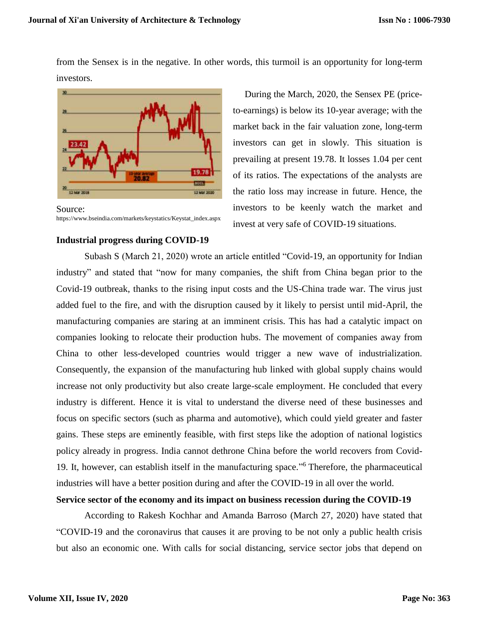from the Sensex is in the negative. In other words, this turmoil is an opportunity for long-term investors.



Source: https://www.bseindia.com/markets/keystatics/Keystat\_index.aspx

 During the March, 2020, the Sensex PE (priceto-earnings) is below its 10-year average; with the market back in the fair valuation zone, long-term investors can get in slowly. This situation is prevailing at present 19.78. It losses 1.04 per cent of its ratios. The expectations of the analysts are the ratio loss may increase in future. Hence, the investors to be keenly watch the market and invest at very safe of COVID-19 situations.

#### **Industrial progress during COVID-19**

Subash S (March 21, 2020) wrote an article entitled "Covid-19, an opportunity for Indian industry" and stated that "now for many companies, the shift from China began prior to the Covid-19 outbreak, thanks to the rising input costs and the US-China trade war. The virus just added fuel to the fire, and with the disruption caused by it likely to persist until mid-April, the manufacturing companies are staring at an imminent crisis. This has had a catalytic impact on companies looking to relocate their production hubs. The movement of companies away from China to other less-developed countries would trigger a new wave of industrialization. Consequently, the expansion of the manufacturing hub linked with global supply chains would increase not only productivity but also create large-scale employment. He concluded that every industry is different. Hence it is vital to understand the diverse need of these businesses and focus on specific sectors (such as pharma and automotive), which could yield greater and faster gains. These steps are eminently feasible, with first steps like the adoption of national logistics policy already in progress. India cannot dethrone China before the world recovers from Covid-19. It, however, can establish itself in the manufacturing space." <sup>6</sup> Therefore, the pharmaceutical industries will have a better position during and after the COVID-19 in all over the world.

# **Service sector of the economy and its impact on business recession during the COVID-19**

According to Rakesh Kochhar and Amanda Barroso (March 27, 2020) have stated that "COVID-19 and the coronavirus that causes it are proving to be not only a public health crisis but also an economic one. With calls for social distancing, service sector jobs that depend on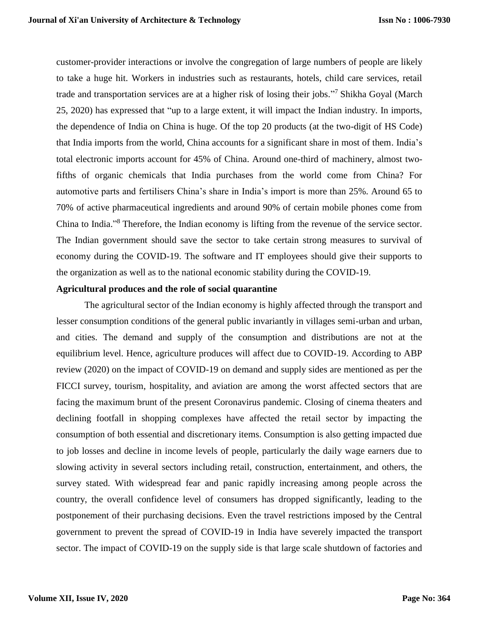customer-provider interactions or involve the congregation of large numbers of people are likely to take a huge hit. Workers in industries such as restaurants, hotels, child care services, retail trade and transportation services are at a higher risk of losing their jobs."<sup>7</sup> Shikha Goyal (March 25, 2020) has expressed that "up to a large extent, it will impact the Indian industry. In imports, the dependence of India on China is huge. Of the top 20 products (at the two-digit of HS Code) that India imports from the world, China accounts for a significant share in most of them. India's total electronic imports account for 45% of China. Around one-third of machinery, almost twofifths of organic chemicals that India purchases from the world come from China? For automotive parts and fertilisers China's share in India's import is more than 25%. Around 65 to 70% of active pharmaceutical ingredients and around 90% of certain mobile phones come from China to India." <sup>8</sup> Therefore, the Indian economy is lifting from the revenue of the service sector. The Indian government should save the sector to take certain strong measures to survival of economy during the COVID-19. The software and IT employees should give their supports to the organization as well as to the national economic stability during the COVID-19.

## **Agricultural produces and the role of social quarantine**

The agricultural sector of the Indian economy is highly affected through the transport and lesser consumption conditions of the general public invariantly in villages semi-urban and urban, and cities. The demand and supply of the consumption and distributions are not at the equilibrium level. Hence, agriculture produces will affect due to COVID-19. According to ABP review (2020) on the impact of COVID-19 on demand and supply sides are mentioned as per the FICCI survey, tourism, hospitality, and aviation are among the worst affected sectors that are facing the maximum brunt of the present Coronavirus pandemic. Closing of cinema theaters and declining footfall in shopping complexes have affected the retail sector by impacting the consumption of both essential and discretionary items. Consumption is also getting impacted due to job losses and decline in income levels of people, particularly the daily wage earners due to slowing activity in several sectors including retail, construction, entertainment, and others, the survey stated. With widespread fear and panic rapidly increasing among people across the country, the overall confidence level of consumers has dropped significantly, leading to the postponement of their purchasing decisions. Even the travel restrictions imposed by the Central government to prevent the spread of COVID-19 in India have severely impacted the transport sector. The impact of COVID-19 on the supply side is that large scale shutdown of factories and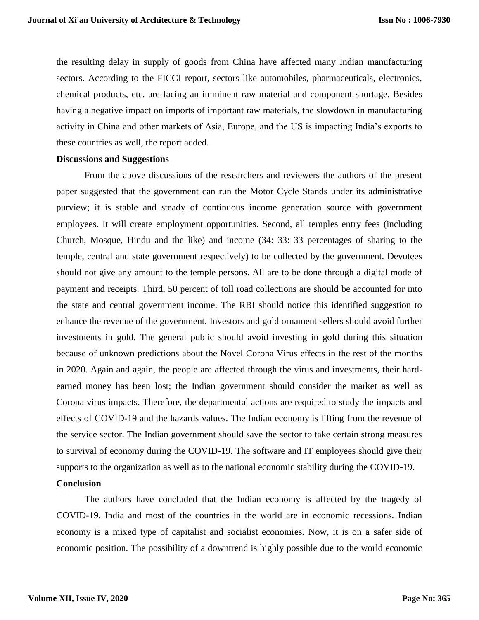the resulting delay in supply of goods from China have affected many Indian manufacturing sectors. According to the FICCI report, sectors like automobiles, pharmaceuticals, electronics, chemical products, etc. are facing an imminent raw material and component shortage. Besides having a negative impact on imports of important raw materials, the slowdown in manufacturing activity in China and other markets of Asia, Europe, and the US is impacting India's exports to these countries as well, the report added.

#### **Discussions and Suggestions**

From the above discussions of the researchers and reviewers the authors of the present paper suggested that the government can run the Motor Cycle Stands under its administrative purview; it is stable and steady of continuous income generation source with government employees. It will create employment opportunities. Second, all temples entry fees (including Church, Mosque, Hindu and the like) and income (34: 33: 33 percentages of sharing to the temple, central and state government respectively) to be collected by the government. Devotees should not give any amount to the temple persons. All are to be done through a digital mode of payment and receipts. Third, 50 percent of toll road collections are should be accounted for into the state and central government income. The RBI should notice this identified suggestion to enhance the revenue of the government. Investors and gold ornament sellers should avoid further investments in gold. The general public should avoid investing in gold during this situation because of unknown predictions about the Novel Corona Virus effects in the rest of the months in 2020. Again and again, the people are affected through the virus and investments, their hardearned money has been lost; the Indian government should consider the market as well as Corona virus impacts. Therefore, the departmental actions are required to study the impacts and effects of COVID-19 and the hazards values. The Indian economy is lifting from the revenue of the service sector. The Indian government should save the sector to take certain strong measures to survival of economy during the COVID-19. The software and IT employees should give their supports to the organization as well as to the national economic stability during the COVID-19.

# **Conclusion**

The authors have concluded that the Indian economy is affected by the tragedy of COVID-19. India and most of the countries in the world are in economic recessions. Indian economy is a mixed type of capitalist and socialist economies. Now, it is on a safer side of economic position. The possibility of a downtrend is highly possible due to the world economic